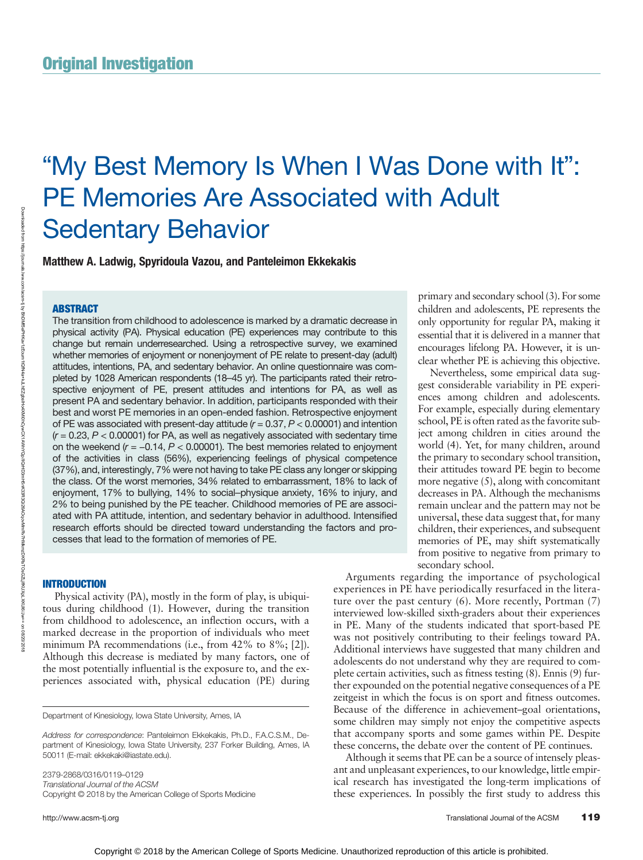# "My Best Memory Is When I Was Done with It": PE Memories Are Associated with Adult Sedentary Behavior

Matthew A. Ladwig, Spyridoula Vazou, and Panteleimon Ekkekakis

# **ABSTRACT**

Downloaded from

https://journals.lww.com/acsm-tj

হ

The transition from childhood to adolescence is marked by a dramatic decrease in physical activity (PA). Physical education (PE) experiences may contribute to this change but remain underresearched. Using a retrospective survey, we examined whether memories of enjoyment or nonenjoyment of PE relate to present-day (adult) attitudes, intentions, PA, and sedentary behavior. An online questionnaire was completed by 1028 American respondents (18–45 yr). The participants rated their retrospective enjoyment of PE, present attitudes and intentions for PA, as well as present PA and sedentary behavior. In addition, participants responded with their best and worst PE memories in an open-ended fashion. Retrospective enjoyment of PE was associated with present-day attitude  $(r = 0.37, P < 0.00001)$  and intention  $(r = 0.23, P < 0.00001)$  for PA, as well as negatively associated with sedentary time on the weekend  $(r = -0.14, P < 0.00001)$ . The best memories related to enjoyment of the activities in class (56%), experiencing feelings of physical competence (37%), and, interestingly, 7% were not having to take PE class any longer or skipping the class. Of the worst memories, 34% related to embarrassment, 18% to lack of enjoyment, 17% to bullying, 14% to social–physique anxiety, 16% to injury, and 2% to being punished by the PE teacher. Childhood memories of PE are associated with PA attitude, intention, and sedentary behavior in adulthood. Intensified research efforts should be directed toward understanding the factors and processes that lead to the formation of memories of PE.

# INTRODUCTION

Physical activity (PA), mostly in the form of play, is ubiquitous during childhood (1). However, during the transition from childhood to adolescence, an inflection occurs, with a marked decrease in the proportion of individuals who meet minimum PA recommendations (i.e., from 42% to 8%; [2]). Although this decrease is mediated by many factors, one of the most potentially influential is the exposure to, and the experiences associated with, physical education (PE) during

Department of Kinesiology, Iowa State University, Ames, IA

2379-2868/0316/0119–0129 Translational Journal of the ACSM Copyright © 2018 by the American College of Sports Medicine

primary and secondary school (3). For some children and adolescents, PE represents the only opportunity for regular PA, making it essential that it is delivered in a manner that encourages lifelong PA. However, it is unclear whether PE is achieving this objective.

Nevertheless, some empirical data suggest considerable variability in PE experiences among children and adolescents. For example, especially during elementary school, PE is often rated as the favorite subject among children in cities around the world (4). Yet, for many children, around the primary to secondary school transition, their attitudes toward PE begin to become more negative (5), along with concomitant decreases in PA. Although the mechanisms remain unclear and the pattern may not be universal, these data suggest that, for many children, their experiences, and subsequent memories of PE, may shift systematically from positive to negative from primary to secondary school.

Arguments regarding the importance of psychological experiences in PE have periodically resurfaced in the literature over the past century (6). More recently, Portman (7) interviewed low-skilled sixth-graders about their experiences in PE. Many of the students indicated that sport-based PE was not positively contributing to their feelings toward PA. Additional interviews have suggested that many children and adolescents do not understand why they are required to complete certain activities, such as fitness testing (8). Ennis (9) further expounded on the potential negative consequences of a PE zeitgeist in which the focus is on sport and fitness outcomes. Because of the difference in achievement–goal orientations, some children may simply not enjoy the competitive aspects that accompany sports and some games within PE. Despite these concerns, the debate over the content of PE continues.

Although it seems that PE can be a source of intensely pleasant and unpleasant experiences, to our knowledge, little empirical research has investigated the long-term implications of these experiences. In possibly the first study to address this

Address for correspondence: Panteleimon Ekkekakis, Ph.D., F.A.C.S.M., Department of Kinesiology, Iowa State University, 237 Forker Building, Ames, IA 50011 (E-mail: [ekkekaki@iastate.edu](mailto:ekkekaki@iastate.edu)).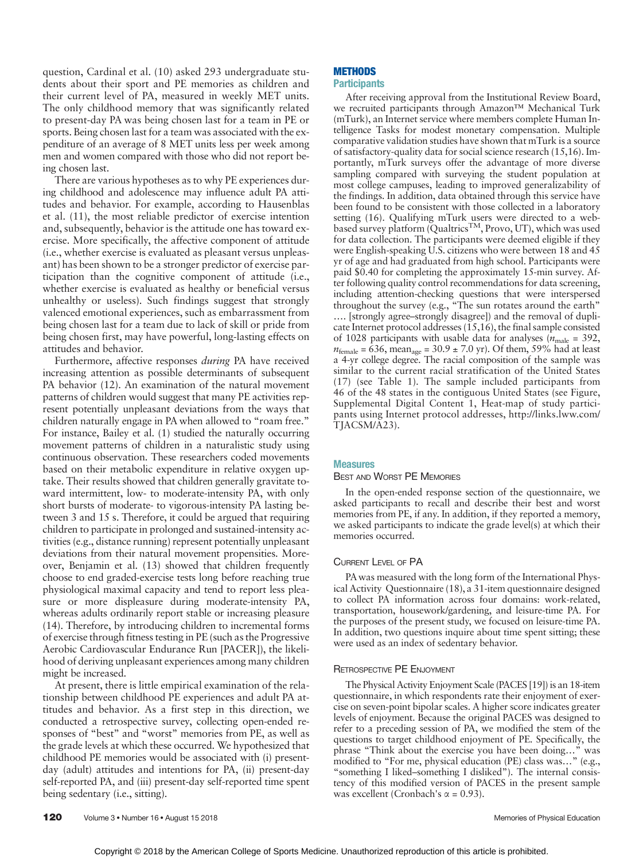question, Cardinal et al. (10) asked 293 undergraduate students about their sport and PE memories as children and their current level of PA, measured in weekly MET units. The only childhood memory that was significantly related to present-day PA was being chosen last for a team in PE or sports. Being chosen last for a team was associated with the expenditure of an average of 8 MET units less per week among men and women compared with those who did not report being chosen last.

There are various hypotheses as to why PE experiences during childhood and adolescence may influence adult PA attitudes and behavior. For example, according to Hausenblas et al. (11), the most reliable predictor of exercise intention and, subsequently, behavior is the attitude one has toward exercise. More specifically, the affective component of attitude (i.e., whether exercise is evaluated as pleasant versus unpleasant) has been shown to be a stronger predictor of exercise participation than the cognitive component of attitude (i.e., whether exercise is evaluated as healthy or beneficial versus unhealthy or useless). Such findings suggest that strongly valenced emotional experiences, such as embarrassment from being chosen last for a team due to lack of skill or pride from being chosen first, may have powerful, long-lasting effects on attitudes and behavior.

Furthermore, affective responses *during* PA have received increasing attention as possible determinants of subsequent PA behavior (12). An examination of the natural movement patterns of children would suggest that many PE activities represent potentially unpleasant deviations from the ways that children naturally engage in PA when allowed to "roam free." For instance, Bailey et al. (1) studied the naturally occurring movement patterns of children in a naturalistic study using continuous observation. These researchers coded movements based on their metabolic expenditure in relative oxygen uptake. Their results showed that children generally gravitate toward intermittent, low- to moderate-intensity PA, with only short bursts of moderate- to vigorous-intensity PA lasting between 3 and 15 s. Therefore, it could be argued that requiring children to participate in prolonged and sustained-intensity activities (e.g., distance running) represent potentially unpleasant deviations from their natural movement propensities. Moreover, Benjamin et al. (13) showed that children frequently choose to end graded-exercise tests long before reaching true physiological maximal capacity and tend to report less pleasure or more displeasure during moderate-intensity PA, whereas adults ordinarily report stable or increasing pleasure (14). Therefore, by introducing children to incremental forms of exercise through fitness testing in PE (such as the Progressive Aerobic Cardiovascular Endurance Run [PACER]), the likelihood of deriving unpleasant experiences among many children might be increased.

At present, there is little empirical examination of the relationship between childhood PE experiences and adult PA attitudes and behavior. As a first step in this direction, we conducted a retrospective survey, collecting open-ended responses of "best" and "worst" memories from PE, as well as the grade levels at which these occurred. We hypothesized that childhood PE memories would be associated with (i) presentday (adult) attitudes and intentions for PA, (ii) present-day self-reported PA, and (iii) present-day self-reported time spent being sedentary (i.e., sitting).

#### **METHODS Participants**

After receiving approval from the Institutional Review Board, we recruited participants through Amazon™ Mechanical Turk (mTurk), an Internet service where members complete Human Intelligence Tasks for modest monetary compensation. Multiple comparative validation studies have shown that mTurk is a source of satisfactory-quality data for social science research (15,16). Importantly, mTurk surveys offer the advantage of more diverse sampling compared with surveying the student population at most college campuses, leading to improved generalizability of the findings. In addition, data obtained through this service have been found to be consistent with those collected in a laboratory setting (16). Qualifying mTurk users were directed to a webbased survey platform (Qualtrics<sup>TM</sup>, Provo, UT), which was used for data collection. The participants were deemed eligible if they were English-speaking U.S. citizens who were between 18 and 45 yr of age and had graduated from high school. Participants were paid \$0.40 for completing the approximately 15-min survey. After following quality control recommendations for data screening, including attention-checking questions that were interspersed throughout the survey (e.g., "The sun rotates around the earth" …. [strongly agree–strongly disagree]) and the removal of duplicate Internet protocol addresses  $(15,16)$ , the final sample consisted of 1028 participants with usable data for analyses ( $n_{\text{male}} = 392$ ,  $n_{\text{female}} = 636$ , mean<sub>age</sub> = 30.9 ± 7.0 yr). Of them, 59% had at least a 4-yr college degree. The racial composition of the sample was similar to the current racial stratification of the United States (17) (see Table 1). The sample included participants from 46 of the 48 states in the contiguous United States (see Figure, Supplemental Digital Content 1, Heat-map of study participants using Internet protocol addresses, [http://links.lww.com/](http://links.lww.com/TJACSM/A23) [TJACSM/A23\)](http://links.lww.com/TJACSM/A23).

## **Measures**

#### BEST AND WORST PE MEMORIES

In the open-ended response section of the questionnaire, we asked participants to recall and describe their best and worst memories from PE, if any. In addition, if they reported a memory, we asked participants to indicate the grade level(s) at which their memories occurred.

## CURRENT LEVEL OF PA

PA was measured with the long form of the International Physical Activity Questionnaire (18), a 31-item questionnaire designed to collect PA information across four domains: work-related, transportation, housework/gardening, and leisure-time PA. For the purposes of the present study, we focused on leisure-time PA. In addition, two questions inquire about time spent sitting; these were used as an index of sedentary behavior.

# RETROSPECTIVE PE ENJOYMENT

The Physical Activity Enjoyment Scale (PACES [19]) is an 18-item questionnaire, in which respondents rate their enjoyment of exercise on seven-point bipolar scales. A higher score indicates greater levels of enjoyment. Because the original PACES was designed to refer to a preceding session of PA, we modified the stem of the questions to target childhood enjoyment of PE. Specifically, the phrase "Think about the exercise you have been doing…" was modified to "For me, physical education (PE) class was…" (e.g., "something I liked–something I disliked"). The internal consistency of this modified version of PACES in the present sample was excellent (Cronbach's  $\alpha$  = 0.93).

120 Volume 3 • Number 16 • August 15 2018 Memories of Physical Education Memories of Physical Education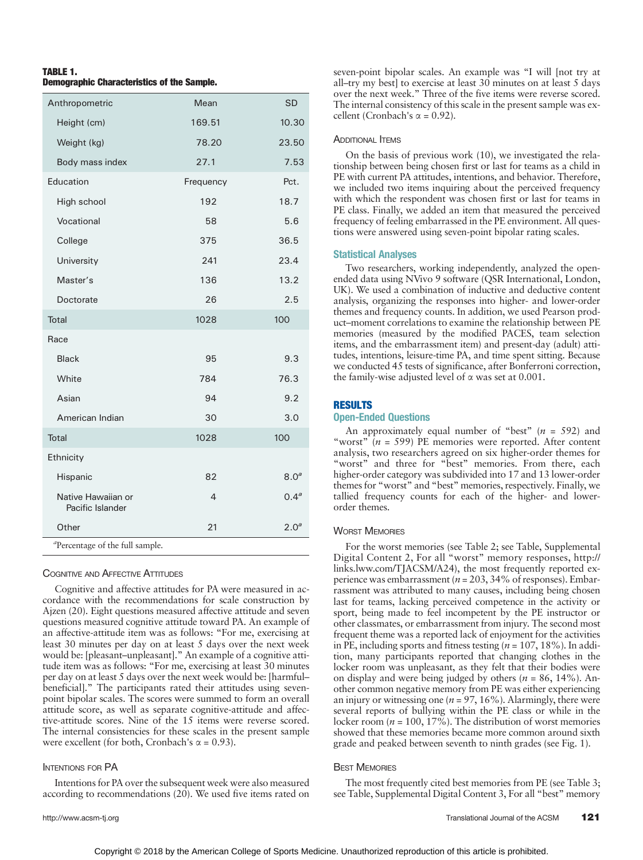| <b>TABLE 1.</b> |                                                   |  |
|-----------------|---------------------------------------------------|--|
|                 | <b>Demographic Characteristics of the Sample.</b> |  |

| Anthropometric                              | Mean      | <b>SD</b>        |
|---------------------------------------------|-----------|------------------|
| Height (cm)                                 | 169.51    | 10.30            |
| Weight (kg)                                 | 78.20     | 23.50            |
| Body mass index                             | 27.1      | 7.53             |
| Education                                   | Frequency | Pct.             |
| High school                                 | 192       | 18.7             |
| Vocational                                  | 58        | 5.6              |
| College                                     | 375       | 36.5             |
| University                                  | 241       | 23.4             |
| Master's                                    | 136       | 13.2             |
| Doctorate                                   | 26        | 2.5              |
| <b>Total</b>                                | 1028      | 100              |
| Race                                        |           |                  |
| <b>Black</b>                                | 95        | 9.3              |
| White                                       | 784       | 76.3             |
| Asian                                       | 94        | 9.2              |
| American Indian                             | 30        | 3.0              |
| <b>Total</b>                                | 1028      | 100              |
| Ethnicity                                   |           |                  |
| Hispanic                                    | 82        | 8.0 <sup>a</sup> |
| Native Hawaiian or<br>Pacific Islander      | 4         | 0.4 <sup>a</sup> |
| Other                                       | 21        | 2.0 <sup>a</sup> |
| <sup>a</sup> Percentage of the full sample. |           |                  |

COGNITIVE AND AFFECTIVE ATTITUDES

Cognitive and affective attitudes for PA were measured in accordance with the recommendations for scale construction by Ajzen (20). Eight questions measured affective attitude and seven questions measured cognitive attitude toward PA. An example of an affective-attitude item was as follows: "For me, exercising at least 30 minutes per day on at least 5 days over the next week would be: [pleasant–unpleasant]." An example of a cognitive attitude item was as follows: "For me, exercising at least 30 minutes per day on at least 5 days over the next week would be: [harmful– beneficial]." The participants rated their attitudes using sevenpoint bipolar scales. The scores were summed to form an overall attitude score, as well as separate cognitive-attitude and affective-attitude scores. Nine of the 15 items were reverse scored. The internal consistencies for these scales in the present sample were excellent (for both, Cronbach's  $\alpha = 0.93$ ).

#### INTENTIONS FOR PA

Intentions for PA over the subsequent week were also measured according to recommendations (20). We used five items rated on

seven-point bipolar scales. An example was "I will [not try at all–try my best] to exercise at least  $30$  minutes on at least  $5$  days over the next week." Three of the five items were reverse scored. The internal consistency of this scale in the present sample was excellent (Cronbach's  $\alpha$  = 0.92).

#### **ADDITIONAL ITEMS**

On the basis of previous work (10), we investigated the relationship between being chosen first or last for teams as a child in PE with current PA attitudes, intentions, and behavior. Therefore, we included two items inquiring about the perceived frequency with which the respondent was chosen first or last for teams in PE class. Finally, we added an item that measured the perceived frequency of feeling embarrassed in the PE environment. All questions were answered using seven-point bipolar rating scales.

# Statistical Analyses

Two researchers, working independently, analyzed the openended data using NVivo 9 software (QSR International, London, UK). We used a combination of inductive and deductive content analysis, organizing the responses into higher- and lower-order themes and frequency counts. In addition, we used Pearson product–moment correlations to examine the relationship between PE memories (measured by the modified PACES, team selection items, and the embarrassment item) and present-day (adult) attitudes, intentions, leisure-time PA, and time spent sitting. Because we conducted 45 tests of significance, after Bonferroni correction, the family-wise adjusted level of  $\alpha$  was set at 0.001.

# RESULTS

# Open-Ended Questions

An approximately equal number of "best"  $(n = 592)$  and "worst" ( $n = 599$ ) PE memories were reported. After content analysis, two researchers agreed on six higher-order themes for "worst" and three for "best" memories. From there, each higher-order category was subdivided into 17 and 13 lower-order themes for "worst" and "best" memories, respectively. Finally, we tallied frequency counts for each of the higher- and lowerorder themes.

#### WORST MEMORIES

For the worst memories (see Table 2; see Table, Supplemental Digital Content 2, For all "worst" memory responses, [http://](http://links.lww.com/TJACSM/A24) [links.lww.com/TJACSM/A24](http://links.lww.com/TJACSM/A24)), the most frequently reported experience was embarrassment ( $n = 203$ , 34% of responses). Embarrassment was attributed to many causes, including being chosen last for teams, lacking perceived competence in the activity or sport, being made to feel incompetent by the PE instructor or other classmates, or embarrassment from injury. The second most frequent theme was a reported lack of enjoyment for the activities in PE, including sports and fitness testing ( $n = 107, 18\%$ ). In addition, many participants reported that changing clothes in the locker room was unpleasant, as they felt that their bodies were on display and were being judged by others ( $n = 86$ , 14%). Another common negative memory from PE was either experiencing an injury or witnessing one ( $n = 97, 16\%$ ). Alarmingly, there were several reports of bullying within the PE class or while in the locker room ( $n = 100, 17\%$ ). The distribution of worst memories showed that these memories became more common around sixth grade and peaked between seventh to ninth grades (see Fig. 1).

#### **BEST MEMORIES**

The most frequently cited best memories from PE (see Table 3; see Table, Supplemental Digital Content 3, For all "best" memory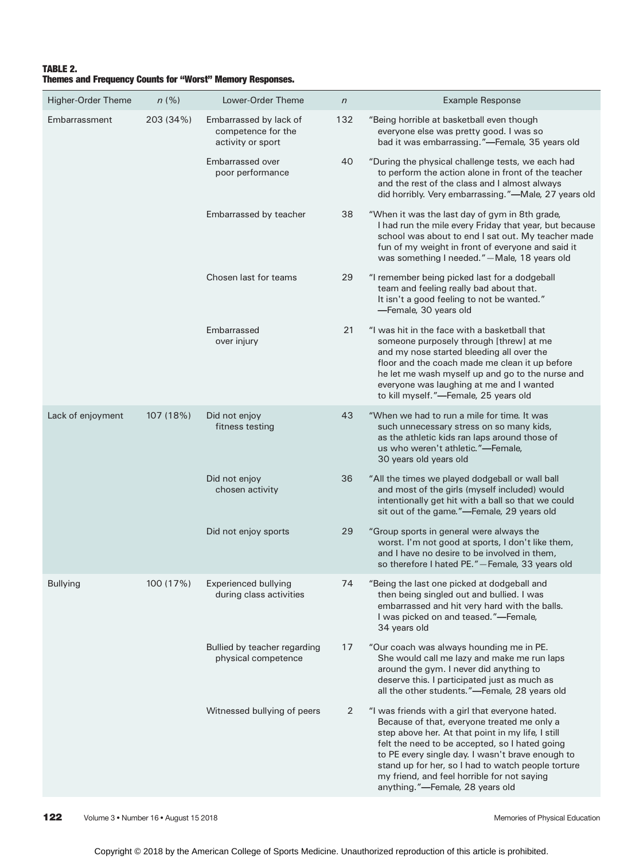# TABLE 2. Themes and Frequency Counts for "Worst" Memory Responses.

| Higher-Order Theme | n(%)      | Lower-Order Theme                                                 | $\sqrt{n}$ | <b>Example Response</b>                                                                                                                                                                                                                                                                                                                                                                           |
|--------------------|-----------|-------------------------------------------------------------------|------------|---------------------------------------------------------------------------------------------------------------------------------------------------------------------------------------------------------------------------------------------------------------------------------------------------------------------------------------------------------------------------------------------------|
| Embarrassment      | 203 (34%) | Embarrassed by lack of<br>competence for the<br>activity or sport | 132        | "Being horrible at basketball even though<br>everyone else was pretty good. I was so<br>bad it was embarrassing."-Female, 35 years old                                                                                                                                                                                                                                                            |
|                    |           | Embarrassed over<br>poor performance                              | 40         | "During the physical challenge tests, we each had<br>to perform the action alone in front of the teacher<br>and the rest of the class and I almost always<br>did horribly. Very embarrassing."-Male, 27 years old                                                                                                                                                                                 |
|                    |           | Embarrassed by teacher                                            | 38         | "When it was the last day of gym in 8th grade,<br>I had run the mile every Friday that year, but because<br>school was about to end I sat out. My teacher made<br>fun of my weight in front of everyone and said it<br>was something I needed."-Male, 18 years old                                                                                                                                |
|                    |           | Chosen last for teams                                             | 29         | "I remember being picked last for a dodgeball<br>team and feeling really bad about that.<br>It isn't a good feeling to not be wanted."<br>-Female, 30 years old                                                                                                                                                                                                                                   |
|                    |           | Embarrassed<br>over injury                                        | 21         | "I was hit in the face with a basketball that<br>someone purposely through [threw] at me<br>and my nose started bleeding all over the<br>floor and the coach made me clean it up before<br>he let me wash myself up and go to the nurse and<br>everyone was laughing at me and I wanted<br>to kill myself."-Female, 25 years old                                                                  |
| Lack of enjoyment  | 107 (18%) | Did not enjoy<br>fitness testing                                  | 43         | "When we had to run a mile for time. It was<br>such unnecessary stress on so many kids,<br>as the athletic kids ran laps around those of<br>us who weren't athletic."-Female,<br>30 years old years old                                                                                                                                                                                           |
|                    |           | Did not enjoy<br>chosen activity                                  | 36         | "All the times we played dodgeball or wall ball<br>and most of the girls (myself included) would<br>intentionally get hit with a ball so that we could<br>sit out of the game."-Female, 29 years old                                                                                                                                                                                              |
|                    |           | Did not enjoy sports                                              | 29         | "Group sports in general were always the<br>worst. I'm not good at sports, I don't like them,<br>and I have no desire to be involved in them,<br>so therefore I hated PE." - Female, 33 years old                                                                                                                                                                                                 |
| <b>Bullying</b>    | 100 (17%) | Experienced bullying<br>during class activities                   | 74         | "Being the last one picked at dodgeball and<br>then being singled out and bullied. I was<br>embarrassed and hit very hard with the balls.<br>I was picked on and teased."-Female,<br>34 years old                                                                                                                                                                                                 |
|                    |           | Bullied by teacher regarding<br>physical competence               | 17         | "Our coach was always hounding me in PE.<br>She would call me lazy and make me run laps<br>around the gym. I never did anything to<br>deserve this. I participated just as much as<br>all the other students."-Female, 28 years old                                                                                                                                                               |
|                    |           | Witnessed bullying of peers                                       | 2          | "I was friends with a girl that everyone hated.<br>Because of that, everyone treated me only a<br>step above her. At that point in my life, I still<br>felt the need to be accepted, so I hated going<br>to PE every single day. I wasn't brave enough to<br>stand up for her, so I had to watch people torture<br>my friend, and feel horrible for not saying<br>anything."-Female, 28 years old |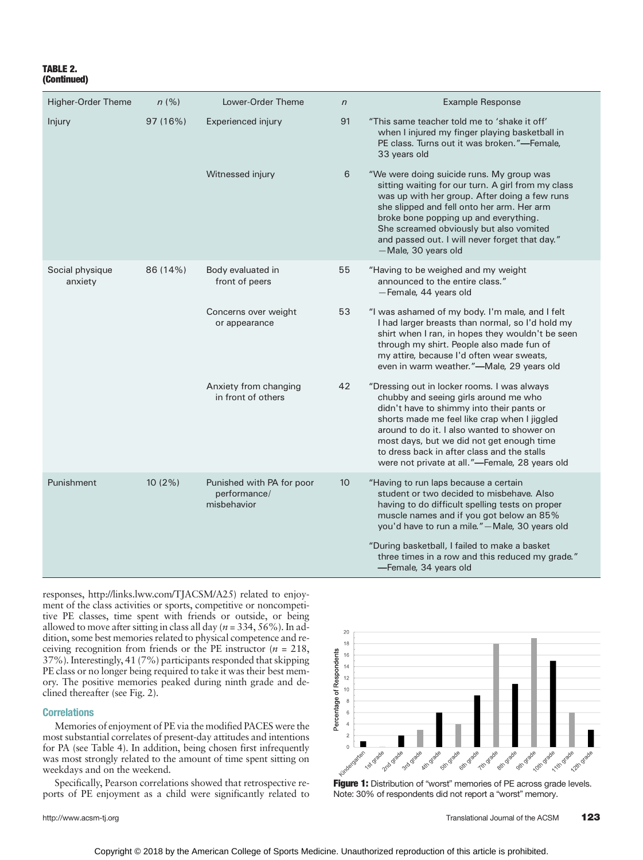# TABLE 2. (Continued)

| <b>Higher-Order Theme</b>              | n(%)     | Lower-Order Theme                                        | $\sqrt{n}$      | <b>Example Response</b>                                                                                                                                                                                                                                                                                                                                                        |  |  |  |
|----------------------------------------|----------|----------------------------------------------------------|-----------------|--------------------------------------------------------------------------------------------------------------------------------------------------------------------------------------------------------------------------------------------------------------------------------------------------------------------------------------------------------------------------------|--|--|--|
| Injury                                 | 97 (16%) | Experienced injury                                       | 91              | "This same teacher told me to 'shake it off'<br>when I injured my finger playing basketball in<br>PE class. Turns out it was broken."-Female,<br>33 years old                                                                                                                                                                                                                  |  |  |  |
|                                        |          | Witnessed injury                                         | 6               | "We were doing suicide runs. My group was<br>sitting waiting for our turn. A girl from my class<br>was up with her group. After doing a few runs<br>she slipped and fell onto her arm. Her arm<br>broke bone popping up and everything.<br>She screamed obviously but also vomited<br>and passed out. I will never forget that day."<br>-Male, 30 years old                    |  |  |  |
| Social physique<br>86 (14%)<br>anxiety |          | Body evaluated in<br>front of peers                      | 55              | "Having to be weighed and my weight<br>announced to the entire class."<br>-Female, 44 years old                                                                                                                                                                                                                                                                                |  |  |  |
|                                        |          | Concerns over weight<br>or appearance                    | 53              | "I was ashamed of my body. I'm male, and I felt<br>I had larger breasts than normal, so I'd hold my<br>shirt when I ran, in hopes they wouldn't be seen<br>through my shirt. People also made fun of<br>my attire, because I'd often wear sweats,<br>even in warm weather."-Male, 29 years old                                                                                 |  |  |  |
|                                        |          | Anxiety from changing<br>in front of others              | 42              | "Dressing out in locker rooms. I was always<br>chubby and seeing girls around me who<br>didn't have to shimmy into their pants or<br>shorts made me feel like crap when I jiggled<br>around to do it. I also wanted to shower on<br>most days, but we did not get enough time<br>to dress back in after class and the stalls<br>were not private at all."-Female, 28 years old |  |  |  |
| Punishment                             | 10 (2%)  | Punished with PA for poor<br>performance/<br>misbehavior | 10 <sup>°</sup> | "Having to run laps because a certain<br>student or two decided to misbehave. Also<br>having to do difficult spelling tests on proper<br>muscle names and if you got below an 85%<br>you'd have to run a mile." - Male, 30 years old                                                                                                                                           |  |  |  |
|                                        |          |                                                          |                 | "During basketball, I failed to make a basket<br>three times in a row and this reduced my grade."<br>-Female, 34 years old                                                                                                                                                                                                                                                     |  |  |  |

responses,<http://links.lww.com/TJACSM/A25>) related to enjoyment of the class activities or sports, competitive or noncompetitive PE classes, time spent with friends or outside, or being allowed to move after sitting in class all day ( $n = 334, 56\%$ ). In addition, some best memories related to physical competence and receiving recognition from friends or the PE instructor ( $n = 218$ , 37%). Interestingly, 41 (7%) participants responded that skipping PE class or no longer being required to take it was their best memory. The positive memories peaked during ninth grade and declined thereafter (see Fig. 2).

## Correlations

Memories of enjoyment of PE via the modified PACES were the most substantial correlates of present-day attitudes and intentions for PA (see Table 4). In addition, being chosen first infrequently was most strongly related to the amount of time spent sitting on weekdays and on the weekend.

Specifically, Pearson correlations showed that retrospective reports of PE enjoyment as a child were significantly related to



**Figure 1:** Distribution of "worst" memories of PE across grade levels. Note: 30% of respondents did not report a "worst" memory.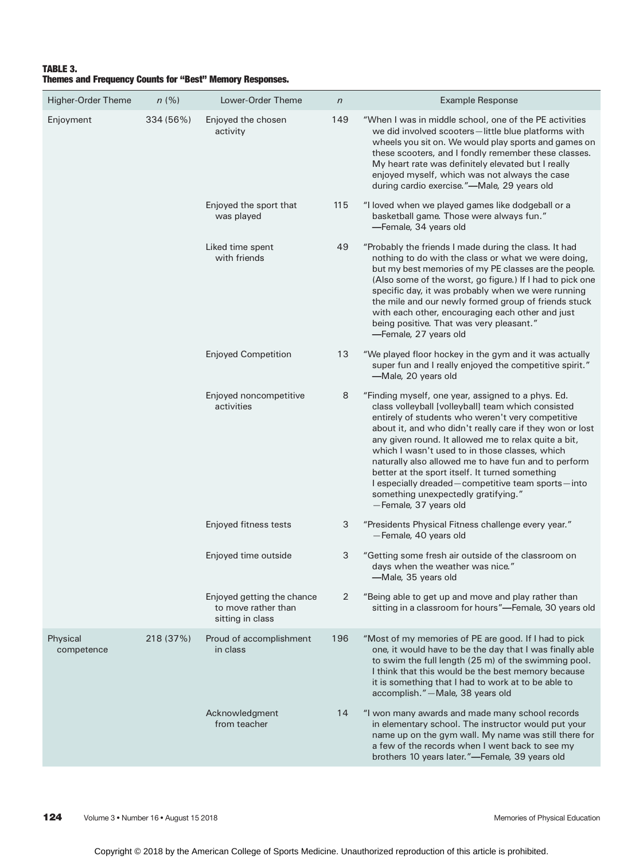# TABLE 3. Themes and Frequency Counts for "Best" Memory Responses.

| Higher-Order Theme     | n(%)      | Lower-Order Theme                                                     | $\sqrt{n}$ | <b>Example Response</b>                                                                                                                                                                                                                                                                                                                                                                                                                                                                                                                                             |
|------------------------|-----------|-----------------------------------------------------------------------|------------|---------------------------------------------------------------------------------------------------------------------------------------------------------------------------------------------------------------------------------------------------------------------------------------------------------------------------------------------------------------------------------------------------------------------------------------------------------------------------------------------------------------------------------------------------------------------|
| Enjoyment              | 334 (56%) | Enjoyed the chosen<br>activity                                        | 149        | "When I was in middle school, one of the PE activities<br>we did involved scooters-little blue platforms with<br>wheels you sit on. We would play sports and games on<br>these scooters, and I fondly remember these classes.<br>My heart rate was definitely elevated but I really<br>enjoyed myself, which was not always the case<br>during cardio exercise."-Male, 29 years old                                                                                                                                                                                 |
|                        |           | Enjoyed the sport that<br>was played                                  | 115        | "I loved when we played games like dodgeball or a<br>basketball game. Those were always fun."<br>-Female, 34 years old                                                                                                                                                                                                                                                                                                                                                                                                                                              |
|                        |           | Liked time spent<br>with friends                                      | 49         | "Probably the friends I made during the class. It had<br>nothing to do with the class or what we were doing,<br>but my best memories of my PE classes are the people.<br>(Also some of the worst, go figure.) If I had to pick one<br>specific day, it was probably when we were running<br>the mile and our newly formed group of friends stuck<br>with each other, encouraging each other and just<br>being positive. That was very pleasant."<br>-Female, 27 years old                                                                                           |
|                        |           | <b>Enjoyed Competition</b>                                            | 13         | "We played floor hockey in the gym and it was actually<br>super fun and I really enjoyed the competitive spirit."<br>-Male, 20 years old                                                                                                                                                                                                                                                                                                                                                                                                                            |
|                        |           | Enjoyed noncompetitive<br>activities                                  | 8          | "Finding myself, one year, assigned to a phys. Ed.<br>class volleyball [volleyball] team which consisted<br>entirely of students who weren't very competitive<br>about it, and who didn't really care if they won or lost<br>any given round. It allowed me to relax quite a bit,<br>which I wasn't used to in those classes, which<br>naturally also allowed me to have fun and to perform<br>better at the sport itself. It turned something<br>I especially dreaded-competitive team sports-into<br>something unexpectedly gratifying."<br>-Female, 37 years old |
|                        |           | Enjoyed fitness tests                                                 | 3          | "Presidents Physical Fitness challenge every year."<br>-Female, 40 years old                                                                                                                                                                                                                                                                                                                                                                                                                                                                                        |
|                        |           | Enjoyed time outside                                                  | 3          | "Getting some fresh air outside of the classroom on<br>days when the weather was nice."<br>-Male, 35 years old                                                                                                                                                                                                                                                                                                                                                                                                                                                      |
|                        |           | Enjoyed getting the chance<br>to move rather than<br>sitting in class | 2          | "Being able to get up and move and play rather than<br>sitting in a classroom for hours"-Female, 30 years old                                                                                                                                                                                                                                                                                                                                                                                                                                                       |
| Physical<br>competence | 218 (37%) | Proud of accomplishment<br>in class                                   | 196        | "Most of my memories of PE are good. If I had to pick<br>one, it would have to be the day that I was finally able<br>to swim the full length (25 m) of the swimming pool.<br>I think that this would be the best memory because<br>it is something that I had to work at to be able to<br>accomplish." - Male, 38 years old                                                                                                                                                                                                                                         |
|                        |           | Acknowledgment<br>from teacher                                        | 14         | "I won many awards and made many school records<br>in elementary school. The instructor would put your<br>name up on the gym wall. My name was still there for<br>a few of the records when I went back to see my<br>brothers 10 years later."-Female, 39 years old                                                                                                                                                                                                                                                                                                 |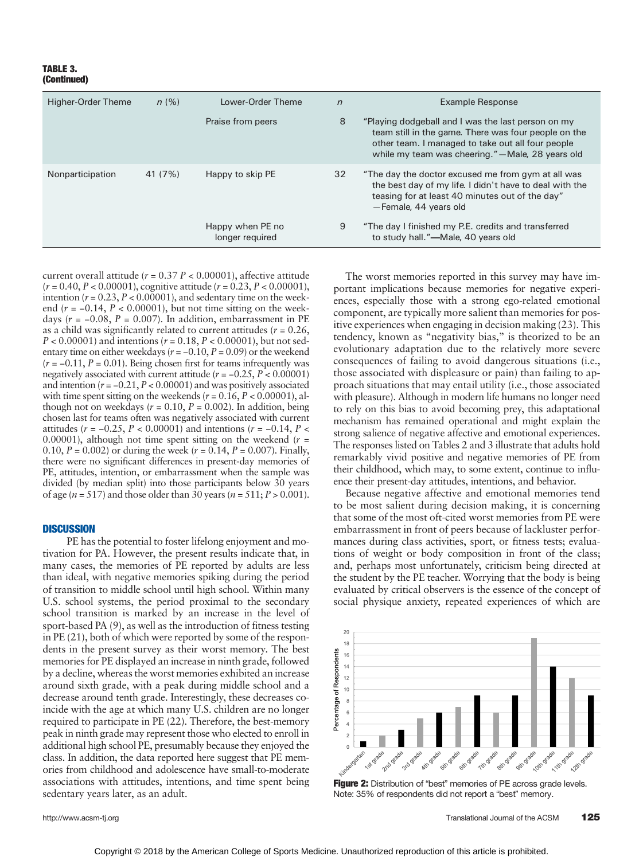#### TABLE 3. (Continued)

| Higher-Order Theme | n(%)    | Lower-Order Theme                   | $\sqrt{n}$ | <b>Example Response</b>                                                                                                                                                                                              |  |  |
|--------------------|---------|-------------------------------------|------------|----------------------------------------------------------------------------------------------------------------------------------------------------------------------------------------------------------------------|--|--|
|                    |         | Praise from peers                   | 8          | "Playing dodgeball and I was the last person on my<br>team still in the game. There was four people on the<br>other team. I managed to take out all four people<br>while my team was cheering." - Male, 28 years old |  |  |
| Nonparticipation   | 41 (7%) | Happy to skip PE                    | 32         | "The day the doctor excused me from gym at all was<br>the best day of my life. I didn't have to deal with the<br>teasing for at least 40 minutes out of the day"<br>-Female, 44 years old                            |  |  |
|                    |         | Happy when PE no<br>longer required | 9          | "The day I finished my P.E. credits and transferred<br>to study hall."—Male, 40 years old                                                                                                                            |  |  |

current overall attitude ( $r = 0.37 P < 0.00001$ ), affective attitude  $(r = 0.40, P < 0.00001)$ , cognitive attitude  $(r = 0.23, P < 0.00001)$ , intention ( $r = 0.23$ ,  $P < 0.00001$ ), and sedentary time on the weekend ( $r = -0.14$ ,  $P < 0.00001$ ), but not time sitting on the weekdays ( $r = -0.08$ ,  $P = 0.007$ ). In addition, embarrassment in PE as a child was significantly related to current attitudes ( $r = 0.26$ ,  $P < 0.00001$ ) and intentions ( $r = 0.18$ ,  $P < 0.00001$ ), but not sedentary time on either weekdays ( $r = -0.10$ ,  $P = 0.09$ ) or the weekend  $(r = -0.11, P = 0.01)$ . Being chosen first for teams infrequently was negatively associated with current attitude ( $r = -0.25$ ,  $P < 0.00001$ ) and intention ( $r = -0.21$ ,  $P < 0.00001$ ) and was positively associated with time spent sitting on the weekends ( $r = 0.16$ ,  $P < 0.00001$ ), although not on weekdays ( $r = 0.10$ ,  $P = 0.002$ ). In addition, being chosen last for teams often was negatively associated with current attitudes ( $r = -0.25$ ,  $P < 0.00001$ ) and intentions ( $r = -0.14$ ,  $P <$ 0.00001), although not time spent sitting on the weekend ( $r =$ 0.10,  $P = 0.002$ ) or during the week ( $r = 0.14$ ,  $P = 0.007$ ). Finally, there were no significant differences in present-day memories of PE, attitudes, intention, or embarrassment when the sample was divided (by median split) into those participants below 30 years of age ( $n = 517$ ) and those older than 30 years ( $n = 511$ ;  $P > 0.001$ ).

### **DISCUSSION**

PE has the potential to foster lifelong enjoyment and motivation for PA. However, the present results indicate that, in many cases, the memories of PE reported by adults are less than ideal, with negative memories spiking during the period of transition to middle school until high school. Within many U.S. school systems, the period proximal to the secondary school transition is marked by an increase in the level of sport-based PA (9), as well as the introduction of fitness testing in PE (21), both of which were reported by some of the respondents in the present survey as their worst memory. The best memories for PE displayed an increase in ninth grade, followed by a decline, whereas the worst memories exhibited an increase around sixth grade, with a peak during middle school and a decrease around tenth grade. Interestingly, these decreases coincide with the age at which many U.S. children are no longer required to participate in PE (22). Therefore, the best-memory peak in ninth grade may represent those who elected to enroll in additional high school PE, presumably because they enjoyed the class. In addition, the data reported here suggest that PE memories from childhood and adolescence have small-to-moderate associations with attitudes, intentions, and time spent being sedentary years later, as an adult.

The worst memories reported in this survey may have important implications because memories for negative experiences, especially those with a strong ego-related emotional component, are typically more salient than memories for positive experiences when engaging in decision making (23). This tendency, known as "negativity bias," is theorized to be an evolutionary adaptation due to the relatively more severe consequences of failing to avoid dangerous situations (i.e., those associated with displeasure or pain) than failing to approach situations that may entail utility (i.e., those associated with pleasure). Although in modern life humans no longer need to rely on this bias to avoid becoming prey, this adaptational mechanism has remained operational and might explain the strong salience of negative affective and emotional experiences. The responses listed on Tables 2 and 3 illustrate that adults hold remarkably vivid positive and negative memories of PE from their childhood, which may, to some extent, continue to influence their present-day attitudes, intentions, and behavior.

Because negative affective and emotional memories tend to be most salient during decision making, it is concerning that some of the most oft-cited worst memories from PE were embarrassment in front of peers because of lackluster performances during class activities, sport, or fitness tests; evaluations of weight or body composition in front of the class; and, perhaps most unfortunately, criticism being directed at the student by the PE teacher. Worrying that the body is being evaluated by critical observers is the essence of the concept of social physique anxiety, repeated experiences of which are



Figure 2: Distribution of "best" memories of PE across grade levels. Note: 35% of respondents did not report a "best" memory.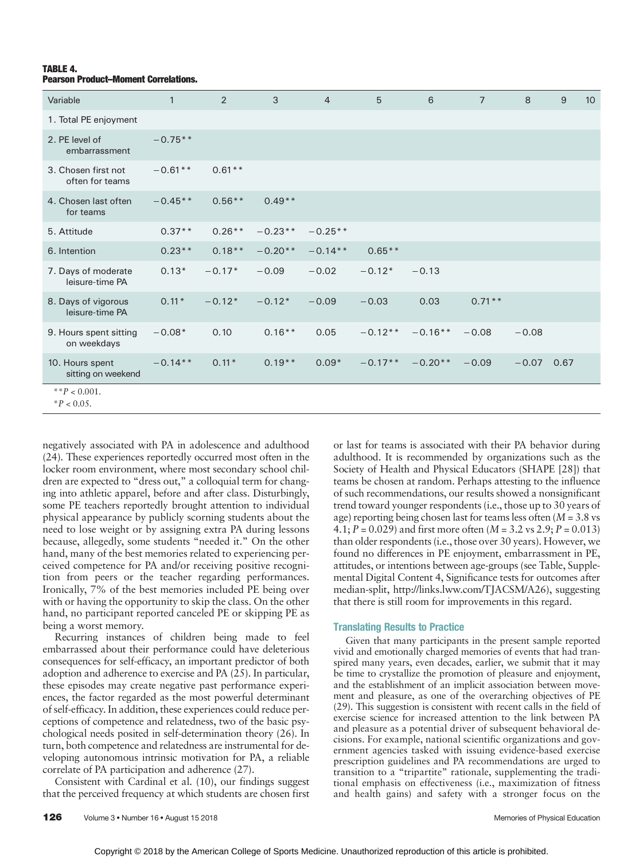# TABLE 4. Pearson Product–Moment Correlations.

| Variable                               | $\mathbf{1}$ | 2        | 3         | $\overline{4}$ | 5         | 6         | $\overline{7}$ | 8       | 9    | 10 <sup>°</sup> |
|----------------------------------------|--------------|----------|-----------|----------------|-----------|-----------|----------------|---------|------|-----------------|
| 1. Total PE enjoyment                  |              |          |           |                |           |           |                |         |      |                 |
| 2. PE level of<br>embarrassment        | $-0.75**$    |          |           |                |           |           |                |         |      |                 |
| 3. Chosen first not<br>often for teams | $-0.61**$    | $0.61**$ |           |                |           |           |                |         |      |                 |
| 4. Chosen last often<br>for teams      | $-0.45**$    | $0.56**$ | $0.49**$  |                |           |           |                |         |      |                 |
| 5. Attitude                            | $0.37**$     | $0.26**$ | $-0.23**$ | $-0.25**$      |           |           |                |         |      |                 |
| 6. Intention                           | $0.23**$     | $0.18**$ | $-0.20**$ | $-0.14**$      | $0.65**$  |           |                |         |      |                 |
| 7. Days of moderate<br>leisure-time PA | $0.13*$      | $-0.17*$ | $-0.09$   | $-0.02$        | $-0.12*$  | $-0.13$   |                |         |      |                 |
| 8. Days of vigorous<br>leisure-time PA | $0.11*$      | $-0.12*$ | $-0.12*$  | $-0.09$        | $-0.03$   | 0.03      | $0.71**$       |         |      |                 |
| 9. Hours spent sitting<br>on weekdays  | $-0.08*$     | 0.10     | $0.16***$ | 0.05           | $-0.12**$ | $-0.16**$ | $-0.08$        | $-0.08$ |      |                 |
| 10. Hours spent<br>sitting on weekend  | $-0.14**$    | $0.11*$  | $0.19**$  | $0.09*$        | $-0.17**$ | $-0.20**$ | $-0.09$        | $-0.07$ | 0.67 |                 |
| ** $P < 0.001$ .<br>$^*P < 0.05$ .     |              |          |           |                |           |           |                |         |      |                 |

negatively associated with PA in adolescence and adulthood (24). These experiences reportedly occurred most often in the locker room environment, where most secondary school children are expected to "dress out," a colloquial term for changing into athletic apparel, before and after class. Disturbingly, some PE teachers reportedly brought attention to individual physical appearance by publicly scorning students about the need to lose weight or by assigning extra PA during lessons because, allegedly, some students "needed it." On the other hand, many of the best memories related to experiencing perceived competence for PA and/or receiving positive recognition from peers or the teacher regarding performances. Ironically, 7% of the best memories included PE being over with or having the opportunity to skip the class. On the other hand, no participant reported canceled PE or skipping PE as being a worst memory.

Recurring instances of children being made to feel embarrassed about their performance could have deleterious consequences for self-efficacy, an important predictor of both adoption and adherence to exercise and PA (25). In particular, these episodes may create negative past performance experiences, the factor regarded as the most powerful determinant of self-efficacy. In addition, these experiences could reduce perceptions of competence and relatedness, two of the basic psychological needs posited in self-determination theory (26). In turn, both competence and relatedness are instrumental for developing autonomous intrinsic motivation for PA, a reliable correlate of PA participation and adherence (27).

Consistent with Cardinal et al. (10), our findings suggest that the perceived frequency at which students are chosen first

or last for teams is associated with their PA behavior during adulthood. It is recommended by organizations such as the Society of Health and Physical Educators (SHAPE [28]) that teams be chosen at random. Perhaps attesting to the influence of such recommendations, our results showed a nonsignificant trend toward younger respondents (i.e., those up to 30 years of age) reporting being chosen last for teams less often  $(M = 3.8 \text{ vs } 10^{-10} \text{ m})$ 4.1;  $P = 0.029$  and first more often  $(M = 3.2 \text{ vs } 2.9; P = 0.013)$ than older respondents (i.e., those over 30 years). However, we found no differences in PE enjoyment, embarrassment in PE, attitudes, or intentions between age-groups (see Table, Supplemental Digital Content 4, Significance tests for outcomes after median-split,<http://links.lww.com/TJACSM/A26>), suggesting that there is still room for improvements in this regard.

## Translating Results to Practice

Given that many participants in the present sample reported vivid and emotionally charged memories of events that had transpired many years, even decades, earlier, we submit that it may be time to crystallize the promotion of pleasure and enjoyment, and the establishment of an implicit association between movement and pleasure, as one of the overarching objectives of PE (29). This suggestion is consistent with recent calls in the field of exercise science for increased attention to the link between PA and pleasure as a potential driver of subsequent behavioral decisions. For example, national scientific organizations and government agencies tasked with issuing evidence-based exercise prescription guidelines and PA recommendations are urged to transition to a "tripartite" rationale, supplementing the traditional emphasis on effectiveness (i.e., maximization of fitness and health gains) and safety with a stronger focus on the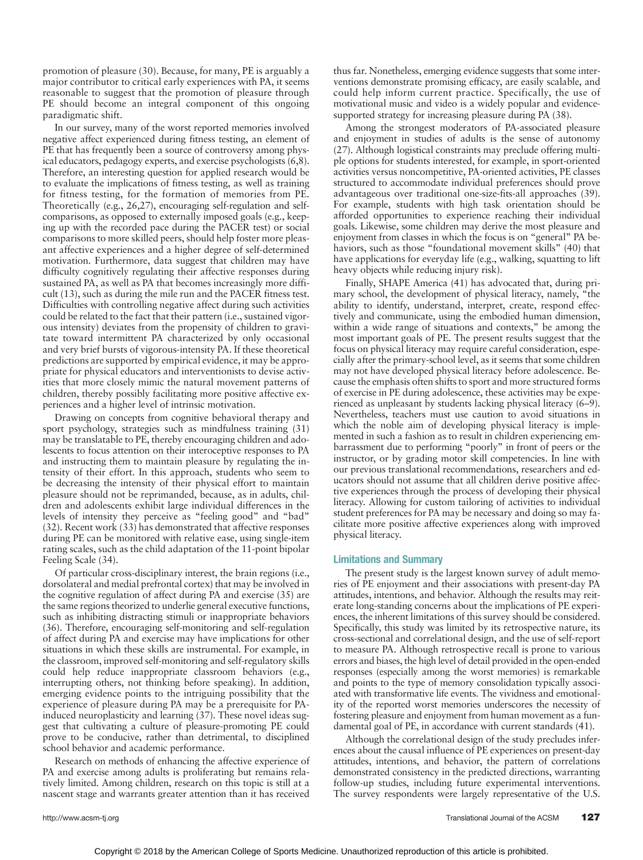promotion of pleasure (30). Because, for many, PE is arguably a major contributor to critical early experiences with PA, it seems reasonable to suggest that the promotion of pleasure through PE should become an integral component of this ongoing paradigmatic shift.

In our survey, many of the worst reported memories involved negative affect experienced during fitness testing, an element of PE that has frequently been a source of controversy among physical educators, pedagogy experts, and exercise psychologists (6,8). Therefore, an interesting question for applied research would be to evaluate the implications of fitness testing, as well as training for fitness testing, for the formation of memories from PE. Theoretically (e.g., 26,27), encouraging self-regulation and selfcomparisons, as opposed to externally imposed goals (e.g., keeping up with the recorded pace during the PACER test) or social comparisons to more skilled peers, should help foster more pleasant affective experiences and a higher degree of self-determined motivation. Furthermore, data suggest that children may have difficulty cognitively regulating their affective responses during sustained PA, as well as PA that becomes increasingly more difficult (13), such as during the mile run and the PACER fitness test. Difficulties with controlling negative affect during such activities could be related to the fact that their pattern (i.e., sustained vigorous intensity) deviates from the propensity of children to gravitate toward intermittent PA characterized by only occasional and very brief bursts of vigorous-intensity PA. If these theoretical predictions are supported by empirical evidence, it may be appropriate for physical educators and interventionists to devise activities that more closely mimic the natural movement patterns of children, thereby possibly facilitating more positive affective experiences and a higher level of intrinsic motivation.

Drawing on concepts from cognitive behavioral therapy and sport psychology, strategies such as mindfulness training (31) may be translatable to PE, thereby encouraging children and adolescents to focus attention on their interoceptive responses to PA and instructing them to maintain pleasure by regulating the intensity of their effort. In this approach, students who seem to be decreasing the intensity of their physical effort to maintain pleasure should not be reprimanded, because, as in adults, children and adolescents exhibit large individual differences in the levels of intensity they perceive as "feeling good" and "bad" (32). Recent work (33) has demonstrated that affective responses during PE can be monitored with relative ease, using single-item rating scales, such as the child adaptation of the 11-point bipolar Feeling Scale (34).

Of particular cross-disciplinary interest, the brain regions (i.e., dorsolateral and medial prefrontal cortex) that may be involved in the cognitive regulation of affect during PA and exercise (35) are the same regions theorized to underlie general executive functions, such as inhibiting distracting stimuli or inappropriate behaviors (36). Therefore, encouraging self-monitoring and self-regulation of affect during PA and exercise may have implications for other situations in which these skills are instrumental. For example, in the classroom, improved self-monitoring and self-regulatory skills could help reduce inappropriate classroom behaviors (e.g., interrupting others, not thinking before speaking). In addition, emerging evidence points to the intriguing possibility that the experience of pleasure during PA may be a prerequisite for PAinduced neuroplasticity and learning (37). These novel ideas suggest that cultivating a culture of pleasure-promoting PE could prove to be conducive, rather than detrimental, to disciplined school behavior and academic performance.

Research on methods of enhancing the affective experience of PA and exercise among adults is proliferating but remains relatively limited. Among children, research on this topic is still at a nascent stage and warrants greater attention than it has received

thus far. Nonetheless, emerging evidence suggests that some interventions demonstrate promising efficacy, are easily scalable, and could help inform current practice. Specifically, the use of motivational music and video is a widely popular and evidencesupported strategy for increasing pleasure during PA (38).

Among the strongest moderators of PA-associated pleasure and enjoyment in studies of adults is the sense of autonomy (27). Although logistical constraints may preclude offering multiple options for students interested, for example, in sport-oriented activities versus noncompetitive, PA-oriented activities, PE classes structured to accommodate individual preferences should prove advantageous over traditional one-size-fits-all approaches (39). For example, students with high task orientation should be afforded opportunities to experience reaching their individual goals. Likewise, some children may derive the most pleasure and enjoyment from classes in which the focus is on "general" PA behaviors, such as those "foundational movement skills" (40) that have applications for everyday life (e.g., walking, squatting to lift heavy objects while reducing injury risk).

Finally, SHAPE America (41) has advocated that, during primary school, the development of physical literacy, namely, "the ability to identify, understand, interpret, create, respond effectively and communicate, using the embodied human dimension, within a wide range of situations and contexts," be among the most important goals of PE. The present results suggest that the focus on physical literacy may require careful consideration, especially after the primary-school level, as it seems that some children may not have developed physical literacy before adolescence. Because the emphasis often shifts to sport and more structured forms of exercise in PE during adolescence, these activities may be experienced as unpleasant by students lacking physical literacy (6–9). Nevertheless, teachers must use caution to avoid situations in which the noble aim of developing physical literacy is implemented in such a fashion as to result in children experiencing embarrassment due to performing "poorly" in front of peers or the instructor, or by grading motor skill competencies. In line with our previous translational recommendations, researchers and educators should not assume that all children derive positive affective experiences through the process of developing their physical literacy. Allowing for custom tailoring of activities to individual student preferences for PA may be necessary and doing so may facilitate more positive affective experiences along with improved physical literacy.

## Limitations and Summary

The present study is the largest known survey of adult memories of PE enjoyment and their associations with present-day PA attitudes, intentions, and behavior. Although the results may reiterate long-standing concerns about the implications of PE experiences, the inherent limitations of this survey should be considered. Specifically, this study was limited by its retrospective nature, its cross-sectional and correlational design, and the use of self-report to measure PA. Although retrospective recall is prone to various errors and biases, the high level of detail provided in the open-ended responses (especially among the worst memories) is remarkable and points to the type of memory consolidation typically associated with transformative life events. The vividness and emotionality of the reported worst memories underscores the necessity of fostering pleasure and enjoyment from human movement as a fundamental goal of PE, in accordance with current standards (41).

Although the correlational design of the study precludes inferences about the causal influence of PE experiences on present-day attitudes, intentions, and behavior, the pattern of correlations demonstrated consistency in the predicted directions, warranting follow-up studies, including future experimental interventions. The survey respondents were largely representative of the U.S.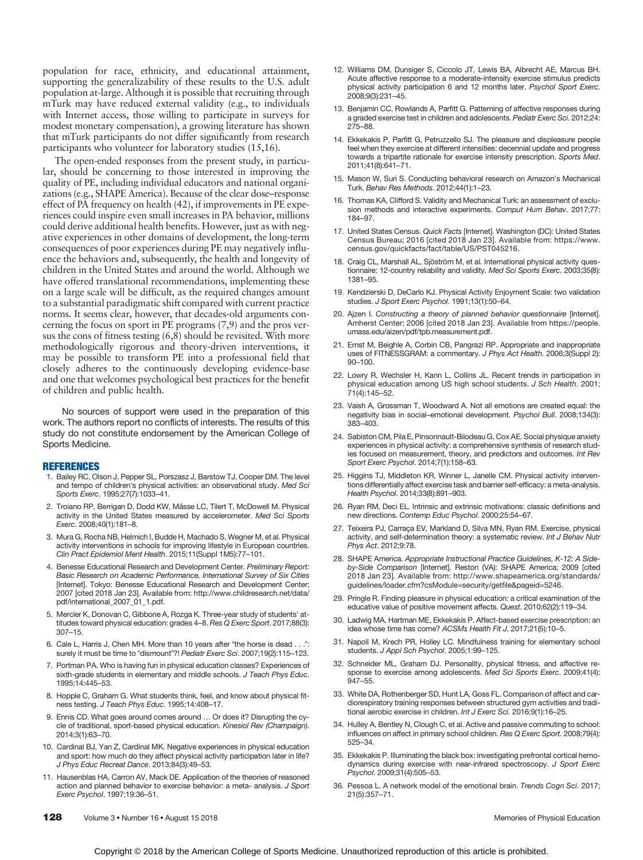population for race, ethnicity, and educational attainment, supporting the generalizability of these results to the U.S. adult population at-large. Although it is possible that recruiting through mTurk may have reduced external validity (e.g., to individuals with Internet access, those willing to participate in surveys for modest monetary compensation), a growing literature has shown that mTurk participants do not differ significantly from research participants who volunteer for laboratory studies (15,16).

The open-ended responses from the present study, in particular, should be concerning to those interested in improving the quality of PE, including individual educators and national organizations (e.g., SHAPE America). Because of the clear dose–response effect of PA frequency on health (42), if improvements in PE experiences could inspire even small increases in PA behavior, millions could derive additional health benefits. However, just as with negative experiences in other domains of development, the long-term consequences of poor experiences during PE may negatively influence the behaviors and, subsequently, the health and longevity of children in the United States and around the world. Although we have offered translational recommendations, implementing these on a large scale will be difficult, as the required changes amount to a substantial paradigmatic shift compared with current practice norms. It seems clear, however, that decades-old arguments concerning the focus on sport in PE programs (7,9) and the pros versus the cons of fitness testing (6,8) should be revisited. With more methodologically rigorous and theory-driven interventions, it may be possible to transform PE into a professional field that closely adheres to the continuously developing evidence-base and one that welcomes psychological best practices for the benefit of children and public health.

No sources of support were used in the preparation of this work. The authors report no conflicts of interests. The results of this study do not constitute endorsement by the American College of Sports Medicine.

#### REFERENCES

- 1. Bailey RC, Olson J, Pepper SL, Porszasz J, Barstow TJ, Cooper DM. The level and tempo of children's physical activities: an observational study. Med Sci Sports Exerc. 1995;27(7):1033–41.
- 2. Troiano RP, Berrigan D, Dodd KW, Mâsse LC, Tilert T, McDowell M. Physical activity in the United States measured by accelerometer. Med Sci Sports Exerc. 2008;40(1):181–8.
- 3. Mura G, Rocha NB, Helmich I, Budde H, Machado S, Wegner M, et al. Physical activity interventions in schools for improving lifestyle in European countries. Clin Pract Epidemiol Ment Health. 2015;11(Suppl 1M5):77–101.
- 4. Benesse Educational Research and Development Center. Preliminary Report: Basic Research on Academic Performance, International Survey of Six Cities [Internet]. Tokyo: Benesse Educational Research and Development Center; 2007 [cited 2018 Jan 23]. Available from: [http://www.childresearch.net/data/](http://www.childresearch.net/data/pdf/international_2007_01_1.pdf) [pdf/international\\_2007\\_01\\_1.pdf](http://www.childresearch.net/data/pdf/international_2007_01_1.pdf).
- 5. Mercier K, Donovan C, Gibbone A, Rozga K. Three-year study of students' attitudes toward physical education: grades 4-8. Res Q Exerc Sport. 2017;88(3): 307–15.
- 6. Cale L, Harris J, Chen MH. More than 10 years after "the horse is dead . surely it must be time to "dismount"?! Pediatr Exerc Sci. 2007;19(2):115–123.
- 7. Portman PA. Who is having fun in physical education classes? Experiences of sixth-grade students in elementary and middle schools. J Teach Phys Educ. 1995;14:445–53.
- 8. Hopple C, Graham G. What students think, feel, and know about physical fitness testing. J Teach Phys Educ. 1995;14:408–17.
- Ennis CD. What goes around comes around ... Or does it? Disrupting the cycle of traditional, sport-based physical education. Kinesiol Rev (Champaign). 2014;3(1):63–70.
- 10. Cardinal BJ, Yan Z, Cardinal MK. Negative experiences in physical education and sport: how much do they affect physical activity participation later in life? J Phys Educ Recreat Dance. 2013;84(3):49–53.
- 11. Hausenblas HA, Carron AV, Mack DE. Application of the theories of reasoned action and planned behavior to exercise behavior: a meta- analysis. J Sport Exerc Psychol. 1997;19:36–51.
- 12. Williams DM, Dunsiger S, Ciccolo JT, Lewis BA, Albrecht AE, Marcus BH. Acute affective response to a moderate-intensity exercise stimulus predicts physical activity participation 6 and 12 months later. Psychol Sport Exerc. 2008;9(3):231–45.
- 13. Benjamin CC, Rowlands A, Parfitt G. Patterning of affective responses during a graded exercise test in children and adolescents. Pediatr Exerc Sci. 2012;24: 275–88.
- 14. Ekkekakis P, Parfitt G, Petruzzello SJ. The pleasure and displeasure people feel when they exercise at different intensities: decennial update and progress towards a tripartite rationale for exercise intensity prescription. Sports Med. 2011;41(8):641–71.
- 15. Mason W, Suri S. Conducting behavioral research on Amazon's Mechanical Turk. Behav Res Methods. 2012;44(1):1–23.
- 16. Thomas KA, Clifford S. Validity and Mechanical Turk: an assessment of exclusion methods and interactive experiments. Comput Hum Behav. 2017;77: 184–97.
- 17. United States Census. Quick Facts [Internet]. Washington (DC): United States Census Bureau; 2016 [cited 2018 Jan 23]. Available from: [https://www.](https://www.census.gov/quickfacts/fact/table/US/PST045216) [census.gov/quickfacts/fact/table/US/PST045216](https://www.census.gov/quickfacts/fact/table/US/PST045216).
- 18. Craig CL, Marshall AL, Sjöström M, et al. International physical activity questionnaire: 12-country reliability and validity. Med Sci Sports Exerc. 2003;35(8): 1381–95.
- 19. Kendzierski D, DeCarlo KJ. Physical Activity Enjoyment Scale: two validation studies. J Sport Exerc Psychol. 1991;13(1):50–64.
- 20. Ajzen I. Constructing a theory of planned behavior questionnaire [Internet]. Amherst Center; 2006 [cited 2018 Jan 23]. Available from [https://people.](https://people.umass.edu/aizen/pdf/tpb.measurement.pdf) [umass.edu/aizen/pdf/tpb.measurement.pdf](https://people.umass.edu/aizen/pdf/tpb.measurement.pdf).
- 21. Ernst M, Beighle A, Corbin CB, Pangrazi RP. Appropriate and inappropriate uses of FITNESSGRAM: a commentary. J Phys Act Health. 2006;3(Suppl 2): 90–100.
- 22. Lowry R, Wechsler H, Kann L, Collins JL. Recent trends in participation in physical education among US high school students. J Sch Health. 2001; 71(4):145–52.
- 23. Vaish A, Grossman T, Woodward A. Not all emotions are created equal: the negativity bias in social–emotional development. Psychol Bull. 2008;134(3): 383–403.
- 24. Sabiston CM, Pila E, Pinsonnault-Bilodeau G, Cox AE. Social physique anxiety experiences in physical activity: a comprehensive synthesis of research studies focused on measurement, theory, and predictors and outcomes. Int Rev Sport Exerc Psychol. 2014;7(1):158–63.
- 25. Higgins TJ, Middleton KR, Winner L, Janelle CM. Physical activity interventions differentially affect exercise task and barrier self-efficacy: a meta-analysis. Health Psychol. 2014;33(8):891–903.
- 26. Ryan RM, Deci EL. Intrinsic and extrinsic motivations: classic definitions and new directions. Contemp Educ Psychol. 2000;25:54–67.
- 27. Teixeira PJ, Carraça EV, Markland D, Silva MN, Ryan RM. Exercise, physical activity, and self-determination theory: a systematic review. Int J Behav Nutr Phys Act. 2012;9:78.
- 28. SHAPE America. Appropriate Instructional Practice Guidelines, K-12: A Sideby-Side Comparison [Internet]. Reston (VA): SHAPE America; 2009 [cited 2018 Jan 23]. Available from: [http://www.shapeamerica.org/standards/](http://www.shapeamerica.org/standards/guidelines/loader.cfm?csModule=security/getfile&pageid=5246) [guidelines/loader.cfm?csModule=security/getfile&pageid=5246.](http://www.shapeamerica.org/standards/guidelines/loader.cfm?csModule=security/getfile&pageid=5246)
- 29. Pringle R. Finding pleasure in physical education: a critical examination of the educative value of positive movement affects. Quest. 2010;62(2):119–34.
- 30. Ladwig MA, Hartman ME, Ekkekakis P. Affect-based exercise prescription: an idea whose time has come? ACSMs Health Fit J. 2017;21(5):10–5.
- 31. Napoli M, Krech PR, Holley LC. Mindfulness training for elementary school students. J Appl Sch Psychol. 2005;1:99–125.
- 32. Schneider ML, Graham DJ. Personality, physical fitness, and affective response to exercise among adolescents. Med Sci Sports Exerc. 2009;41(4): 947–55.
- 33. White DA, Rothenberger SD, Hunt LA, Goss FL. Comparison of affect and cardiorespiratory training responses between structured gym activities and traditional aerobic exercise in children. Int J Exerc Sci. 2016;9(1):16–25.
- 34. Hulley A, Bentley N, Clough C, et al. Active and passive commuting to school: influences on affect in primary school children. Res Q Exerc Sport. 2008;79(4): 525–34.
- 35. Ekkekakis P. Illuminating the black box: investigating prefrontal cortical hemodynamics during exercise with near-infrared spectroscopy. J Sport Exerc Psychol. 2009;31(4):505–53.
- 36. Pessoa L. A network model of the emotional brain. Trends Cogn Sci. 2017; 21(5):357–71.